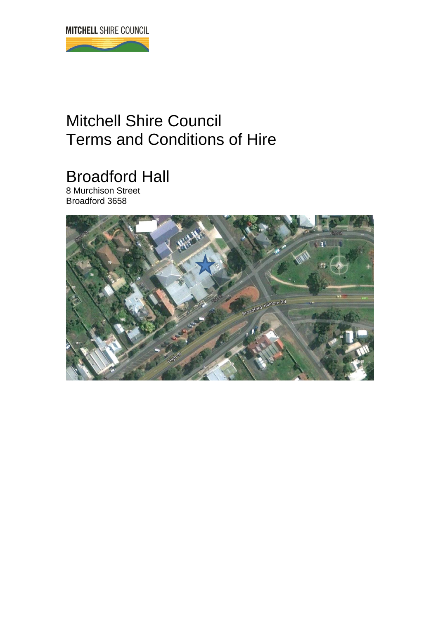

# Mitchell Shire Council Terms and Conditions of Hire

Broadford Hall

8 Murchison Street Broadford 3658

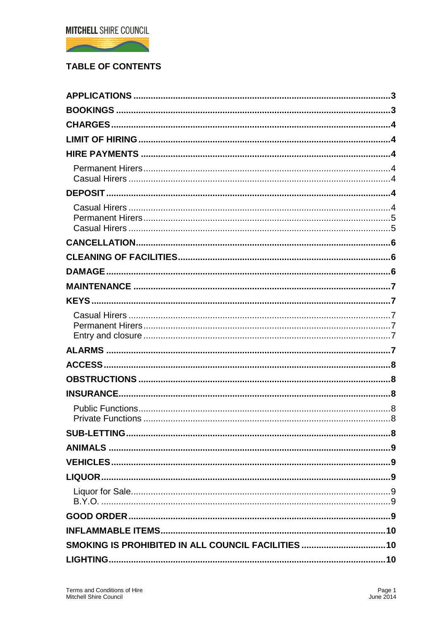

# **TABLE OF CONTENTS**

| Private Functions.                                  |  |
|-----------------------------------------------------|--|
|                                                     |  |
|                                                     |  |
|                                                     |  |
|                                                     |  |
|                                                     |  |
|                                                     |  |
|                                                     |  |
| SMOKING IS PROHIBITED IN ALL COUNCIL FACILITIES  10 |  |
|                                                     |  |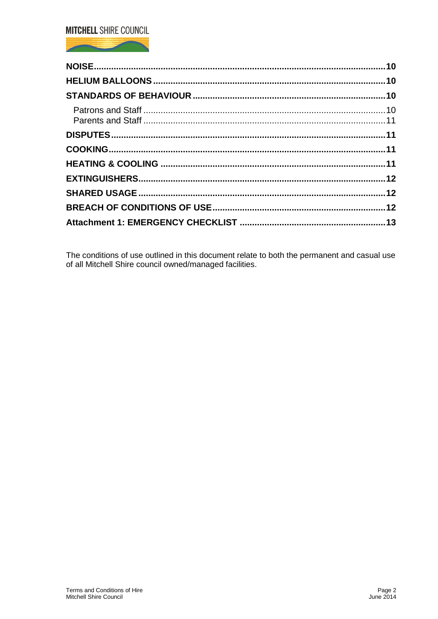# **MITCHELL SHIRE COUNCIL**



The conditions of use outlined in this document relate to both the permanent and casual use of all Mitchell Shire council owned/managed facilities.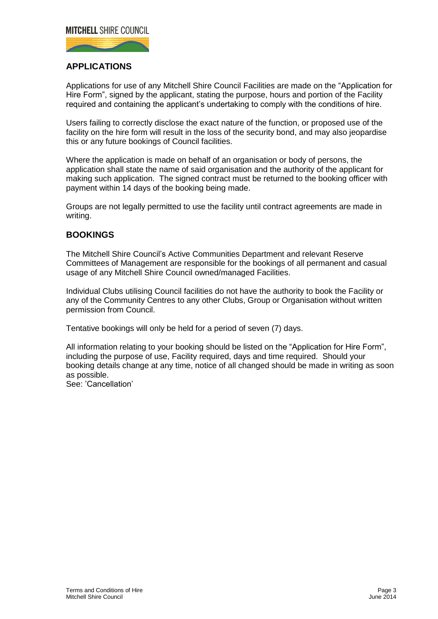

# <span id="page-3-0"></span>**APPLICATIONS**

Applications for use of any Mitchell Shire Council Facilities are made on the "Application for Hire Form", signed by the applicant, stating the purpose, hours and portion of the Facility required and containing the applicant's undertaking to comply with the conditions of hire.

Users failing to correctly disclose the exact nature of the function, or proposed use of the facility on the hire form will result in the loss of the security bond, and may also jeopardise this or any future bookings of Council facilities.

Where the application is made on behalf of an organisation or body of persons, the application shall state the name of said organisation and the authority of the applicant for making such application. The signed contract must be returned to the booking officer with payment within 14 days of the booking being made.

Groups are not legally permitted to use the facility until contract agreements are made in writing.

# <span id="page-3-1"></span>**BOOKINGS**

The Mitchell Shire Council's Active Communities Department and relevant Reserve Committees of Management are responsible for the bookings of all permanent and casual usage of any Mitchell Shire Council owned/managed Facilities.

Individual Clubs utilising Council facilities do not have the authority to book the Facility or any of the Community Centres to any other Clubs, Group or Organisation without written permission from Council.

Tentative bookings will only be held for a period of seven (7) days.

All information relating to your booking should be listed on the "Application for Hire Form", including the purpose of use, Facility required, days and time required. Should your booking details change at any time, notice of all changed should be made in writing as soon as possible.

See: 'Cancellation'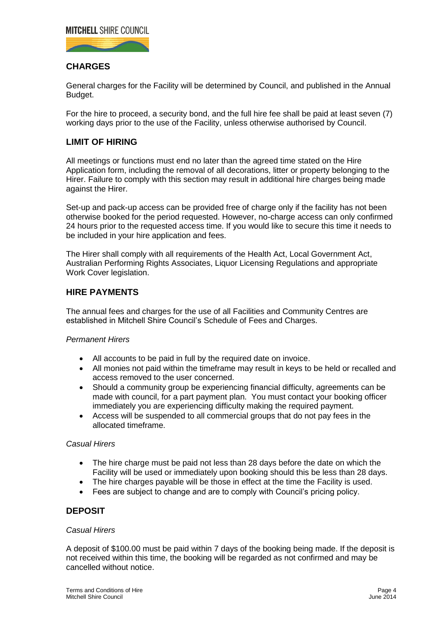

# <span id="page-4-0"></span>**CHARGES**

General charges for the Facility will be determined by Council, and published in the Annual Budget.

For the hire to proceed, a security bond, and the full hire fee shall be paid at least seven (7) working days prior to the use of the Facility, unless otherwise authorised by Council.

# <span id="page-4-1"></span>**LIMIT OF HIRING**

All meetings or functions must end no later than the agreed time stated on the Hire Application form, including the removal of all decorations, litter or property belonging to the Hirer. Failure to comply with this section may result in additional hire charges being made against the Hirer.

Set-up and pack-up access can be provided free of charge only if the facility has not been otherwise booked for the period requested. However, no-charge access can only confirmed 24 hours prior to the requested access time. If you would like to secure this time it needs to be included in your hire application and fees.

The Hirer shall comply with all requirements of the Health Act, Local Government Act, Australian Performing Rights Associates, Liquor Licensing Regulations and appropriate Work Cover legislation.

#### <span id="page-4-2"></span>**HIRE PAYMENTS**

The annual fees and charges for the use of all Facilities and Community Centres are established in Mitchell Shire Council's Schedule of Fees and Charges.

#### <span id="page-4-3"></span>*Permanent Hirers*

- All accounts to be paid in full by the required date on invoice.
- All monies not paid within the timeframe may result in keys to be held or recalled and access removed to the user concerned.
- Should a community group be experiencing financial difficulty, agreements can be made with council, for a part payment plan. You must contact your booking officer immediately you are experiencing difficulty making the required payment.
- Access will be suspended to all commercial groups that do not pay fees in the allocated timeframe.

#### <span id="page-4-4"></span>*Casual Hirers*

- The hire charge must be paid not less than 28 days before the date on which the Facility will be used or immediately upon booking should this be less than 28 days.
- The hire charges payable will be those in effect at the time the Facility is used.
- Fees are subject to change and are to comply with Council's pricing policy.

# <span id="page-4-5"></span>**DEPOSIT**

#### <span id="page-4-6"></span>*Casual Hirers*

A deposit of \$100.00 must be paid within 7 days of the booking being made. If the deposit is not received within this time, the booking will be regarded as not confirmed and may be cancelled without notice.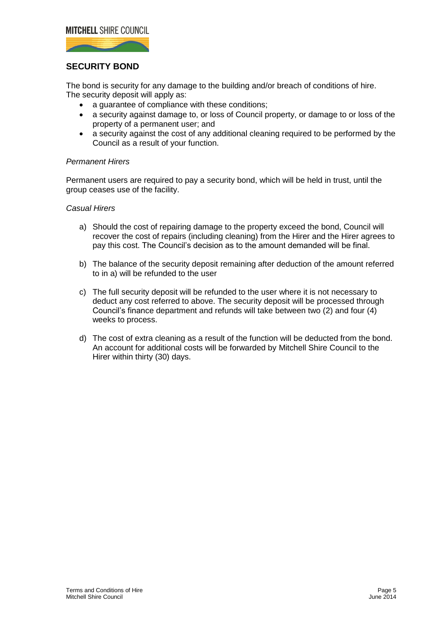

# **SECURITY BOND**

The bond is security for any damage to the building and/or breach of conditions of hire. The security deposit will apply as:

- a guarantee of compliance with these conditions;
- a security against damage to, or loss of Council property, or damage to or loss of the property of a permanent user; and
- a security against the cost of any additional cleaning required to be performed by the Council as a result of your function.

#### <span id="page-5-0"></span>*Permanent Hirers*

Permanent users are required to pay a security bond, which will be held in trust, until the group ceases use of the facility.

#### <span id="page-5-1"></span>*Casual Hirers*

- a) Should the cost of repairing damage to the property exceed the bond, Council will recover the cost of repairs (including cleaning) from the Hirer and the Hirer agrees to pay this cost. The Council's decision as to the amount demanded will be final.
- b) The balance of the security deposit remaining after deduction of the amount referred to in a) will be refunded to the user
- c) The full security deposit will be refunded to the user where it is not necessary to deduct any cost referred to above. The security deposit will be processed through Council's finance department and refunds will take between two (2) and four (4) weeks to process.
- d) The cost of extra cleaning as a result of the function will be deducted from the bond. An account for additional costs will be forwarded by Mitchell Shire Council to the Hirer within thirty (30) days.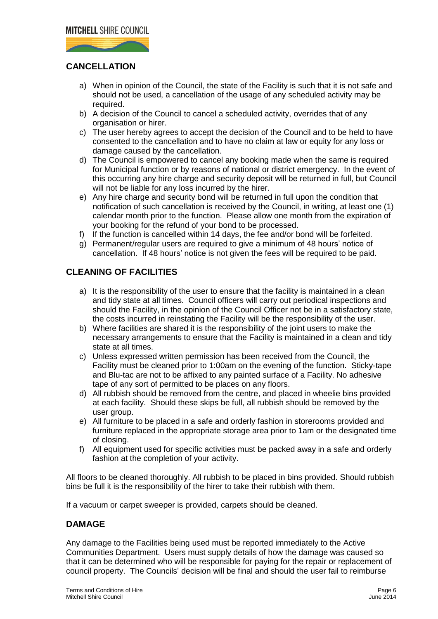# <span id="page-6-0"></span>**CANCELLATION**

- a) When in opinion of the Council, the state of the Facility is such that it is not safe and should not be used, a cancellation of the usage of any scheduled activity may be required.
- b) A decision of the Council to cancel a scheduled activity, overrides that of any organisation or hirer.
- c) The user hereby agrees to accept the decision of the Council and to be held to have consented to the cancellation and to have no claim at law or equity for any loss or damage caused by the cancellation.
- d) The Council is empowered to cancel any booking made when the same is required for Municipal function or by reasons of national or district emergency. In the event of this occurring any hire charge and security deposit will be returned in full, but Council will not be liable for any loss incurred by the hirer.
- e) Any hire charge and security bond will be returned in full upon the condition that notification of such cancellation is received by the Council, in writing, at least one (1) calendar month prior to the function. Please allow one month from the expiration of your booking for the refund of your bond to be processed.
- f) If the function is cancelled within 14 days, the fee and/or bond will be forfeited.
- g) Permanent/regular users are required to give a minimum of 48 hours' notice of cancellation. If 48 hours' notice is not given the fees will be required to be paid.

# <span id="page-6-1"></span>**CLEANING OF FACILITIES**

- a) It is the responsibility of the user to ensure that the facility is maintained in a clean and tidy state at all times. Council officers will carry out periodical inspections and should the Facility, in the opinion of the Council Officer not be in a satisfactory state, the costs incurred in reinstating the Facility will be the responsibility of the user.
- b) Where facilities are shared it is the responsibility of the joint users to make the necessary arrangements to ensure that the Facility is maintained in a clean and tidy state at all times.
- c) Unless expressed written permission has been received from the Council, the Facility must be cleaned prior to 1:00am on the evening of the function. Sticky-tape and Blu-tac are not to be affixed to any painted surface of a Facility. No adhesive tape of any sort of permitted to be places on any floors.
- d) All rubbish should be removed from the centre, and placed in wheelie bins provided at each facility. Should these skips be full, all rubbish should be removed by the user group.
- e) All furniture to be placed in a safe and orderly fashion in storerooms provided and furniture replaced in the appropriate storage area prior to 1am or the designated time of closing.
- f) All equipment used for specific activities must be packed away in a safe and orderly fashion at the completion of your activity.

All floors to be cleaned thoroughly. All rubbish to be placed in bins provided. Should rubbish bins be full it is the responsibility of the hirer to take their rubbish with them.

If a vacuum or carpet sweeper is provided, carpets should be cleaned.

# <span id="page-6-2"></span>**DAMAGE**

Any damage to the Facilities being used must be reported immediately to the Active Communities Department. Users must supply details of how the damage was caused so that it can be determined who will be responsible for paying for the repair or replacement of council property. The Councils' decision will be final and should the user fail to reimburse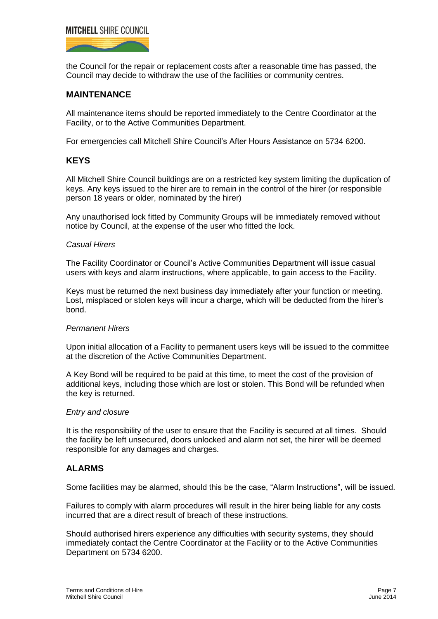

the Council for the repair or replacement costs after a reasonable time has passed, the Council may decide to withdraw the use of the facilities or community centres.

#### <span id="page-7-0"></span>**MAINTENANCE**

All maintenance items should be reported immediately to the Centre Coordinator at the Facility, or to the Active Communities Department.

For emergencies call Mitchell Shire Council's After Hours Assistance on 5734 6200.

#### <span id="page-7-1"></span>**KEYS**

All Mitchell Shire Council buildings are on a restricted key system limiting the duplication of keys. Any keys issued to the hirer are to remain in the control of the hirer (or responsible person 18 years or older, nominated by the hirer)

Any unauthorised lock fitted by Community Groups will be immediately removed without notice by Council, at the expense of the user who fitted the lock.

#### <span id="page-7-2"></span>*Casual Hirers*

The Facility Coordinator or Council's Active Communities Department will issue casual users with keys and alarm instructions, where applicable, to gain access to the Facility.

Keys must be returned the next business day immediately after your function or meeting. Lost, misplaced or stolen keys will incur a charge, which will be deducted from the hirer's bond.

#### <span id="page-7-3"></span>*Permanent Hirers*

Upon initial allocation of a Facility to permanent users keys will be issued to the committee at the discretion of the Active Communities Department.

A Key Bond will be required to be paid at this time, to meet the cost of the provision of additional keys, including those which are lost or stolen. This Bond will be refunded when the key is returned.

#### <span id="page-7-4"></span>*Entry and closure*

It is the responsibility of the user to ensure that the Facility is secured at all times. Should the facility be left unsecured, doors unlocked and alarm not set, the hirer will be deemed responsible for any damages and charges.

#### <span id="page-7-5"></span>**ALARMS**

Some facilities may be alarmed, should this be the case, "Alarm Instructions", will be issued.

Failures to comply with alarm procedures will result in the hirer being liable for any costs incurred that are a direct result of breach of these instructions.

Should authorised hirers experience any difficulties with security systems, they should immediately contact the Centre Coordinator at the Facility or to the Active Communities Department on 5734 6200.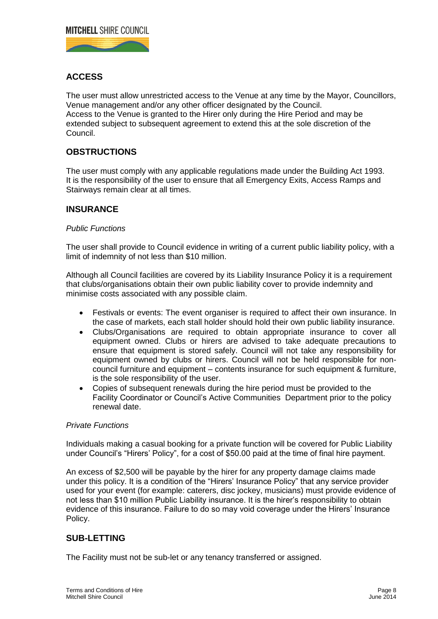# <span id="page-8-0"></span>**ACCESS**

The user must allow unrestricted access to the Venue at any time by the Mayor, Councillors, Venue management and/or any other officer designated by the Council. Access to the Venue is granted to the Hirer only during the Hire Period and may be extended subject to subsequent agreement to extend this at the sole discretion of the Council.

# <span id="page-8-1"></span>**OBSTRUCTIONS**

The user must comply with any applicable regulations made under the Building Act 1993. It is the responsibility of the user to ensure that all Emergency Exits, Access Ramps and Stairways remain clear at all times.

# <span id="page-8-2"></span>**INSURANCE**

#### <span id="page-8-3"></span>*Public Functions*

The user shall provide to Council evidence in writing of a current public liability policy, with a limit of indemnity of not less than \$10 million.

Although all Council facilities are covered by its Liability Insurance Policy it is a requirement that clubs/organisations obtain their own public liability cover to provide indemnity and minimise costs associated with any possible claim.

- Festivals or events: The event organiser is required to affect their own insurance. In the case of markets, each stall holder should hold their own public liability insurance.
- Clubs/Organisations are required to obtain appropriate insurance to cover all equipment owned. Clubs or hirers are advised to take adequate precautions to ensure that equipment is stored safely. Council will not take any responsibility for equipment owned by clubs or hirers. Council will not be held responsible for noncouncil furniture and equipment – contents insurance for such equipment & furniture, is the sole responsibility of the user.
- Copies of subsequent renewals during the hire period must be provided to the Facility Coordinator or Council's Active Communities Department prior to the policy renewal date.

#### <span id="page-8-4"></span>*Private Functions*

Individuals making a casual booking for a private function will be covered for Public Liability under Council's "Hirers' Policy", for a cost of \$50.00 paid at the time of final hire payment.

An excess of \$2,500 will be payable by the hirer for any property damage claims made under this policy. It is a condition of the "Hirers' Insurance Policy" that any service provider used for your event (for example: caterers, disc jockey, musicians) must provide evidence of not less than \$10 million Public Liability insurance. It is the hirer's responsibility to obtain evidence of this insurance. Failure to do so may void coverage under the Hirers' Insurance Policy.

# <span id="page-8-5"></span>**SUB-LETTING**

The Facility must not be sub-let or any tenancy transferred or assigned.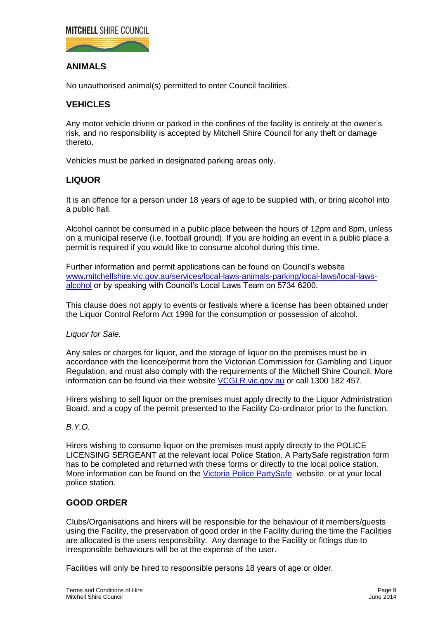

# <span id="page-9-0"></span>**ANIMALS**

No unauthorised animal(s) permitted to enter Council facilities.

# <span id="page-9-1"></span>**VEHICLES**

Any motor vehicle driven or parked in the confines of the facility is entirely at the owner's risk, and no responsibility is accepted by Mitchell Shire Council for any theft or damage thereto.

Vehicles must be parked in designated parking areas only.

#### <span id="page-9-2"></span>**LIQUOR**

It is an offence for a person under 18 years of age to be supplied with, or bring alcohol into a public hall.

Alcohol cannot be consumed in a public place between the hours of 12pm and 8pm, unless on a municipal reserve (i.e. football ground). If you are holding an event in a public place a permit is required if you would like to consume alcohol during this time.

Further information and permit applications can be found on Council's website [www.mitchellshire.vic.gov.au/services/local-laws-animals-parking/local-laws/local-laws](http://www.mitchellshire.vic.gov.au/services/local-laws-animals-parking/local-laws/local-laws-alcohol)[alcohol](http://www.mitchellshire.vic.gov.au/services/local-laws-animals-parking/local-laws/local-laws-alcohol) or by speaking with Council's Local Laws Team on 5734 6200.

This clause does not apply to events or festivals where a license has been obtained under the Liquor Control Reform Act 1998 for the consumption or possession of alcohol.

#### <span id="page-9-3"></span>*Liquor for Sale.*

Any sales or charges for liquor, and the storage of liquor on the premises must be in accordance with the licence/permit from the Victorian Commission for Gambling and Liquor Regulation, and must also comply with the requirements of the Mitchell Shire Council. More information can be found via their website [VCGLR.vic.gov.au](http://www.vcglr.vic.gov.au/home/liquor+licences/apply+for+a+licence/apply+for+a+liquor+licence/apply_for_a_temporary_limited_licence) or call 1300 182 457.

Hirers wishing to sell liquor on the premises must apply directly to the Liquor Administration Board, and a copy of the permit presented to the Facility Co-ordinator prior to the function.

#### <span id="page-9-4"></span>*B.Y.O.*

Hirers wishing to consume liquor on the premises must apply directly to the POLICE LICENSING SERGEANT at the relevant local Police Station. A PartySafe registration form has to be completed and returned with these forms or directly to the local police station. More information can be found on the [Victoria Police PartySafe](http://www.police.vic.gov.au/content.asp?Document_ID=9566) website, or at your local police station.

#### <span id="page-9-5"></span>**GOOD ORDER**

Clubs/Organisations and hirers will be responsible for the behaviour of it members/guests using the Facility, the preservation of good order in the Facility during the time the Facilities are allocated is the users responsibility. Any damage to the Facility or fittings due to irresponsible behaviours will be at the expense of the user.

Facilities will only be hired to responsible persons 18 years of age or older.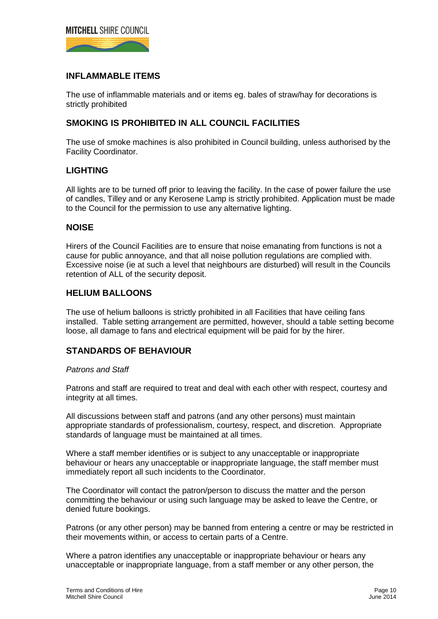

# <span id="page-10-0"></span>**INFLAMMABLE ITEMS**

The use of inflammable materials and or items eg. bales of straw/hay for decorations is strictly prohibited

# <span id="page-10-1"></span>**SMOKING IS PROHIBITED IN ALL COUNCIL FACILITIES**

The use of smoke machines is also prohibited in Council building, unless authorised by the Facility Coordinator.

#### <span id="page-10-2"></span>**LIGHTING**

All lights are to be turned off prior to leaving the facility. In the case of power failure the use of candles, Tilley and or any Kerosene Lamp is strictly prohibited. Application must be made to the Council for the permission to use any alternative lighting.

#### <span id="page-10-3"></span>**NOISE**

Hirers of the Council Facilities are to ensure that noise emanating from functions is not a cause for public annoyance, and that all noise pollution regulations are complied with. Excessive noise (ie at such a level that neighbours are disturbed) will result in the Councils retention of ALL of the security deposit.

#### <span id="page-10-4"></span>**HELIUM BALLOONS**

The use of helium balloons is strictly prohibited in all Facilities that have ceiling fans installed. Table setting arrangement are permitted, however, should a table setting become loose, all damage to fans and electrical equipment will be paid for by the hirer.

#### <span id="page-10-5"></span>**STANDARDS OF BEHAVIOUR**

#### <span id="page-10-6"></span>*Patrons and Staff*

Patrons and staff are required to treat and deal with each other with respect, courtesy and integrity at all times.

All discussions between staff and patrons (and any other persons) must maintain appropriate standards of professionalism, courtesy, respect, and discretion. Appropriate standards of language must be maintained at all times.

Where a staff member identifies or is subject to any unacceptable or inappropriate behaviour or hears any unacceptable or inappropriate language, the staff member must immediately report all such incidents to the Coordinator.

The Coordinator will contact the patron/person to discuss the matter and the person committing the behaviour or using such language may be asked to leave the Centre, or denied future bookings.

Patrons (or any other person) may be banned from entering a centre or may be restricted in their movements within, or access to certain parts of a Centre.

Where a patron identifies any unacceptable or inappropriate behaviour or hears any unacceptable or inappropriate language, from a staff member or any other person, the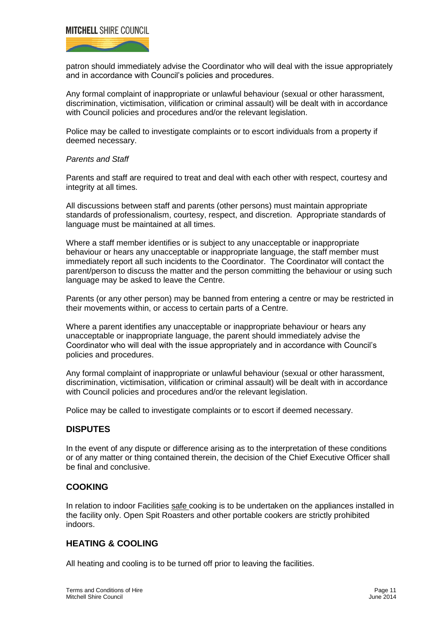# **MITCHELL SHIRE COUNCIL**

patron should immediately advise the Coordinator who will deal with the issue appropriately and in accordance with Council's policies and procedures.

Any formal complaint of inappropriate or unlawful behaviour (sexual or other harassment, discrimination, victimisation, vilification or criminal assault) will be dealt with in accordance with Council policies and procedures and/or the relevant legislation.

Police may be called to investigate complaints or to escort individuals from a property if deemed necessary.

#### <span id="page-11-0"></span>*Parents and Staff*

Parents and staff are required to treat and deal with each other with respect, courtesy and integrity at all times.

All discussions between staff and parents (other persons) must maintain appropriate standards of professionalism, courtesy, respect, and discretion. Appropriate standards of language must be maintained at all times.

Where a staff member identifies or is subject to any unacceptable or inappropriate behaviour or hears any unacceptable or inappropriate language, the staff member must immediately report all such incidents to the Coordinator. The Coordinator will contact the parent/person to discuss the matter and the person committing the behaviour or using such language may be asked to leave the Centre.

Parents (or any other person) may be banned from entering a centre or may be restricted in their movements within, or access to certain parts of a Centre.

Where a parent identifies any unacceptable or inappropriate behaviour or hears any unacceptable or inappropriate language, the parent should immediately advise the Coordinator who will deal with the issue appropriately and in accordance with Council's policies and procedures.

Any formal complaint of inappropriate or unlawful behaviour (sexual or other harassment, discrimination, victimisation, vilification or criminal assault) will be dealt with in accordance with Council policies and procedures and/or the relevant legislation.

Police may be called to investigate complaints or to escort if deemed necessary.

# <span id="page-11-1"></span>**DISPUTES**

In the event of any dispute or difference arising as to the interpretation of these conditions or of any matter or thing contained therein, the decision of the Chief Executive Officer shall be final and conclusive.

# <span id="page-11-2"></span>**COOKING**

In relation to indoor Facilities safe cooking is to be undertaken on the appliances installed in the facility only. Open Spit Roasters and other portable cookers are strictly prohibited indoors.

# <span id="page-11-3"></span>**HEATING & COOLING**

All heating and cooling is to be turned off prior to leaving the facilities.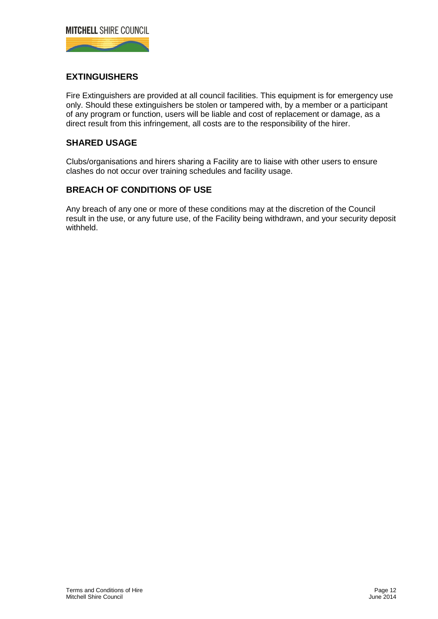

# <span id="page-12-0"></span>**EXTINGUISHERS**

Fire Extinguishers are provided at all council facilities. This equipment is for emergency use only. Should these extinguishers be stolen or tampered with, by a member or a participant of any program or function, users will be liable and cost of replacement or damage, as a direct result from this infringement, all costs are to the responsibility of the hirer.

# <span id="page-12-1"></span>**SHARED USAGE**

Clubs/organisations and hirers sharing a Facility are to liaise with other users to ensure clashes do not occur over training schedules and facility usage.

# <span id="page-12-2"></span>**BREACH OF CONDITIONS OF USE**

Any breach of any one or more of these conditions may at the discretion of the Council result in the use, or any future use, of the Facility being withdrawn, and your security deposit withheld.